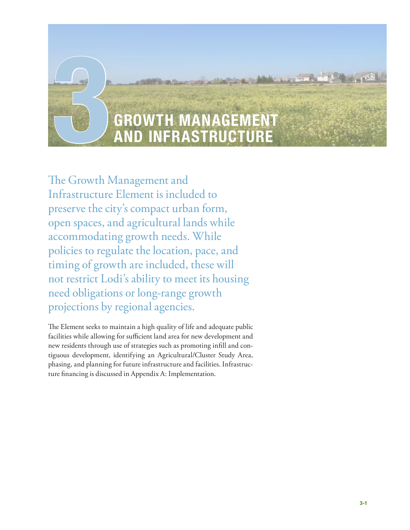

The Growth Management and Infrastructure Element is included to preserve the city's compact urban form, open spaces, and agricultural lands while accommodating growth needs. While policies to regulate the location, pace, and timing of growth are included, these will not restrict Lodi's ability to meet its housing need obligations or long-range growth projections by regional agencies.

The Element seeks to maintain a high quality of life and adequate public facilities while allowing for sufficient land area for new development and new residents through use of strategies such as promoting infill and contiguous development, identifying an Agricultural/Cluster Study Area, phasing, and planning for future infrastructure and facilities. Infrastructure financing is discussed in Appendix A: Implementation.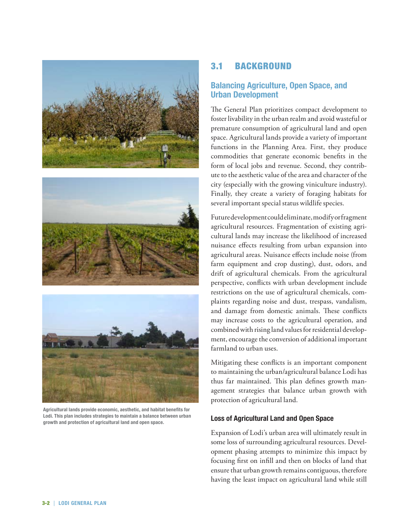





**Agricultural lands provide economic, aesthetic, and habitat benefits for Lodi. This plan includes strategies to maintain a balance between urban growth and protection of agricultural land and open space.** 

## 3.1 Background

## **Balancing Agriculture, Open Space, and Urban Development**

The General Plan prioritizes compact development to foster livability in the urban realm and avoid wasteful or premature consumption of agricultural land and open space. Agricultural lands provide a variety of important functions in the Planning Area. First, they produce commodities that generate economic benefits in the form of local jobs and revenue. Second, they contribute to the aesthetic value of the area and character of the city (especially with the growing viniculture industry). Finally, they create a variety of foraging habitats for several important special status wildlife species.

Future development could eliminate, modify or fragment agricultural resources. Fragmentation of existing agricultural lands may increase the likelihood of increased nuisance effects resulting from urban expansion into agricultural areas. Nuisance effects include noise (from farm equipment and crop dusting), dust, odors, and drift of agricultural chemicals. From the agricultural perspective, conflicts with urban development include restrictions on the use of agricultural chemicals, complaints regarding noise and dust, trespass, vandalism, and damage from domestic animals. These conflicts may increase costs to the agricultural operation, and combined with rising land values for residential development, encourage the conversion of additional important farmland to urban uses.

Mitigating these conflicts is an important component to maintaining the urban/agricultural balance Lodi has thus far maintained. This plan defines growth management strategies that balance urban growth with protection of agricultural land.

### **Loss of Agricultural Land and Open Space**

Expansion of Lodi's urban area will ultimately result in some loss of surrounding agricultural resources. Development phasing attempts to minimize this impact by focusing first on infill and then on blocks of land that ensure that urban growth remains contiguous, therefore having the least impact on agricultural land while still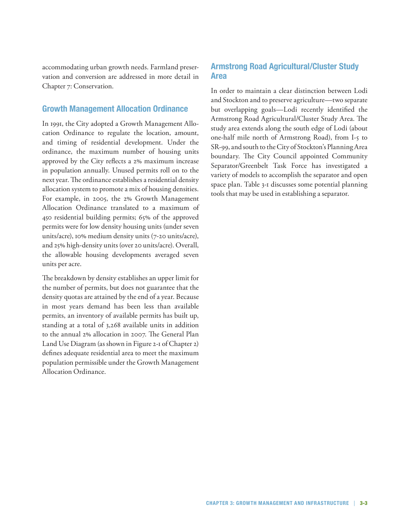accommodating urban growth needs. Farmland preservation and conversion are addressed in more detail in Chapter 7: Conservation.

### **Growth Management Allocation Ordinance**

In 1991, the City adopted a Growth Management Allocation Ordinance to regulate the location, amount, and timing of residential development. Under the ordinance, the maximum number of housing units approved by the City reflects a 2% maximum increase in population annually. Unused permits roll on to the next year. The ordinance establishes a residential density allocation system to promote a mix of housing densities. For example, in 2005, the 2% Growth Management Allocation Ordinance translated to a maximum of 450 residential building permits; 65% of the approved permits were for low density housing units (under seven units/acre), 10% medium density units (7-20 units/acre), and 25% high-density units (over 20 units/acre). Overall, the allowable housing developments averaged seven units per acre.

The breakdown by density establishes an upper limit for the number of permits, but does not guarantee that the density quotas are attained by the end of a year. Because in most years demand has been less than available permits, an inventory of available permits has built up, standing at a total of 3,268 available units in addition to the annual 2% allocation in 2007. The General Plan Land Use Diagram (as shown in Figure 2-1 of Chapter 2) defines adequate residential area to meet the maximum population permissible under the Growth Management Allocation Ordinance.

## **Armstrong Road Agricultural/Cluster Study Area**

In order to maintain a clear distinction between Lodi and Stockton and to preserve agriculture—two separate but overlapping goals—Lodi recently identified the Armstrong Road Agricultural/Cluster Study Area. The study area extends along the south edge of Lodi (about one-half mile north of Armstrong Road), from I-5 to SR-99, and south to the City of Stockton's Planning Area boundary. The City Council appointed Community Separator/Greenbelt Task Force has investigated a variety of models to accomplish the separator and open space plan. Table 3-1 discusses some potential planning tools that may be used in establishing a separator.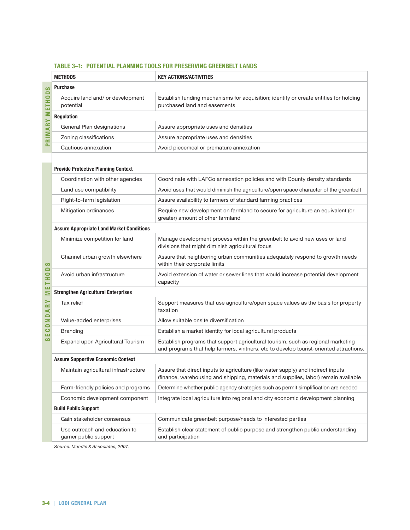#### **Table 3–1: Potential Planning Tools for Preserving Greenbelt Lands**

|                                        | <b>METHODS</b>                                         | <b>KEY ACTIONS/ACTIVITIES</b>                                                                                                                                              |  |  |  |  |  |  |
|----------------------------------------|--------------------------------------------------------|----------------------------------------------------------------------------------------------------------------------------------------------------------------------------|--|--|--|--|--|--|
| S                                      | <b>Purchase</b>                                        |                                                                                                                                                                            |  |  |  |  |  |  |
| ETHOD                                  | Acquire land and/ or development<br>potential          | Establish funding mechanisms for acquisition; identify or create entities for holding<br>purchased land and easements                                                      |  |  |  |  |  |  |
|                                        | Regulation                                             |                                                                                                                                                                            |  |  |  |  |  |  |
|                                        | General Plan designations                              | Assure appropriate uses and densities                                                                                                                                      |  |  |  |  |  |  |
| <b>PRIMARY M</b>                       | Zoning classifications                                 | Assure appropriate uses and densities                                                                                                                                      |  |  |  |  |  |  |
|                                        | Cautious annexation                                    | Avoid piecemeal or premature annexation                                                                                                                                    |  |  |  |  |  |  |
|                                        |                                                        |                                                                                                                                                                            |  |  |  |  |  |  |
|                                        | <b>Provide Protective Planning Context</b>             |                                                                                                                                                                            |  |  |  |  |  |  |
|                                        | Coordination with other agencies                       | Coordinate with LAFCo annexation policies and with County density standards                                                                                                |  |  |  |  |  |  |
|                                        | Land use compatibility                                 | Avoid uses that would diminish the agriculture/open space character of the greenbelt                                                                                       |  |  |  |  |  |  |
|                                        | Right-to-farm legislation                              | Assure availability to farmers of standard farming practices                                                                                                               |  |  |  |  |  |  |
|                                        | Mitigation ordinances                                  | Require new development on farmland to secure for agriculture an equivalent (or<br>greater) amount of other farmland                                                       |  |  |  |  |  |  |
| ပာ                                     | <b>Assure Appropriate Land Market Conditions</b>       |                                                                                                                                                                            |  |  |  |  |  |  |
|                                        | Minimize competition for land                          | Manage development process within the greenbelt to avoid new uses or land<br>divisions that might diminish agricultural focus                                              |  |  |  |  |  |  |
|                                        | Channel urban growth elsewhere                         | Assure that neighboring urban communities adequately respond to growth needs<br>within their corporate limits                                                              |  |  |  |  |  |  |
| THOD                                   | Avoid urban infrastructure                             | Avoid extension of water or sewer lines that would increase potential development<br>capacity                                                                              |  |  |  |  |  |  |
| ш<br>Σ                                 | <b>Strengthen Agricultural Enterprises</b>             |                                                                                                                                                                            |  |  |  |  |  |  |
| ≻<br>$\approx$<br>$\blacktriangleleft$ | Tax relief                                             | Support measures that use agriculture/open space values as the basis for property<br>taxation                                                                              |  |  |  |  |  |  |
| COND                                   | Value-added enterprises                                | Allow suitable onsite diversification                                                                                                                                      |  |  |  |  |  |  |
| ш                                      | <b>Branding</b>                                        | Establish a market identity for local agricultural products                                                                                                                |  |  |  |  |  |  |
| ဖ                                      | Expand upon Agricultural Tourism                       | Establish programs that support agricultural tourism, such as regional marketing<br>and programs that help farmers, vintners, etc to develop tourist-oriented attractions. |  |  |  |  |  |  |
|                                        | <b>Assure Supportive Economic Context</b>              |                                                                                                                                                                            |  |  |  |  |  |  |
|                                        | Maintain agricultural infrastructure                   | Assure that direct inputs to agriculture (like water supply) and indirect inputs<br>(finance, warehousing and shipping, materials and supplies, labor) remain available    |  |  |  |  |  |  |
|                                        | Farm-friendly policies and programs                    | Determine whether public agency strategies such as permit simplification are needed                                                                                        |  |  |  |  |  |  |
|                                        | Economic development component                         | Integrate local agriculture into regional and city economic development planning                                                                                           |  |  |  |  |  |  |
|                                        | <b>Build Public Support</b>                            |                                                                                                                                                                            |  |  |  |  |  |  |
|                                        | Gain stakeholder consensus                             | Communicate greenbelt purpose/needs to interested parties                                                                                                                  |  |  |  |  |  |  |
|                                        | Use outreach and education to<br>garner public support | Establish clear statement of public purpose and strengthen public understanding<br>and participation                                                                       |  |  |  |  |  |  |

*Source: Mundie & Associates, 2007.*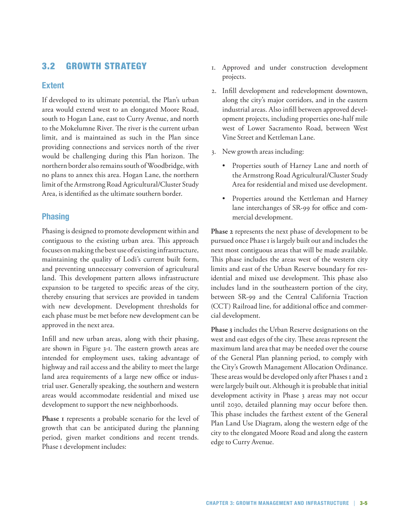## 3.2 Growth Strategy

### **Extent**

If developed to its ultimate potential, the Plan's urban area would extend west to an elongated Moore Road, south to Hogan Lane, east to Curry Avenue, and north to the Mokelumne River. The river is the current urban limit, and is maintained as such in the Plan since providing connections and services north of the river would be challenging during this Plan horizon. The northern border also remains south of Woodbridge, with no plans to annex this area. Hogan Lane, the northern limit of the Armstrong Road Agricultural/Cluster Study Area, is identified as the ultimate southern border.

### **Phasing**

Phasing is designed to promote development within and contiguous to the existing urban area. This approach focuses on making the best use of existing infrastructure, maintaining the quality of Lodi's current built form, and preventing unnecessary conversion of agricultural land. This development pattern allows infrastructure expansion to be targeted to specific areas of the city, thereby ensuring that services are provided in tandem with new development. Development thresholds for each phase must be met before new development can be approved in the next area.

Infill and new urban areas, along with their phasing, are shown in Figure 3-1. The eastern growth areas are intended for employment uses, taking advantage of highway and rail access and the ability to meet the large land area requirements of a large new office or industrial user. Generally speaking, the southern and western areas would accommodate residential and mixed use development to support the new neighborhoods.

**Phase 1** represents a probable scenario for the level of growth that can be anticipated during the planning period, given market conditions and recent trends. Phase I development includes:

- 1. Approved and under construction development projects.
- 2. Infill development and redevelopment downtown, along the city's major corridors, and in the eastern industrial areas. Also infill between approved development projects, including properties one-half mile west of Lower Sacramento Road, between West Vine Street and Kettleman Lane.
- 3. New growth areas including:
	- • Properties south of Harney Lane and north of the Armstrong Road Agricultural/Cluster Study Area for residential and mixed use development.
	- • Properties around the Kettleman and Harney lane interchanges of SR-99 for office and commercial development.

**Phase 2** represents the next phase of development to be pursued once Phase 1 is largely built out and includes the next most contiguous areas that will be made available. This phase includes the areas west of the western city limits and east of the Urban Reserve boundary for residential and mixed use development. This phase also includes land in the southeastern portion of the city, between SR-99 and the Central California Traction (CCT) Railroad line, for additional office and commercial development.

**Phase 3** includes the Urban Reserve designations on the west and east edges of the city. These areas represent the maximum land area that may be needed over the course of the General Plan planning period, to comply with the City's Growth Management Allocation Ordinance. These areas would be developed only after Phases 1 and 2 were largely built out. Although it is probable that initial development activity in Phase 3 areas may not occur until 2030, detailed planning may occur before then. This phase includes the farthest extent of the General Plan Land Use Diagram, along the western edge of the city to the elongated Moore Road and along the eastern edge to Curry Avenue.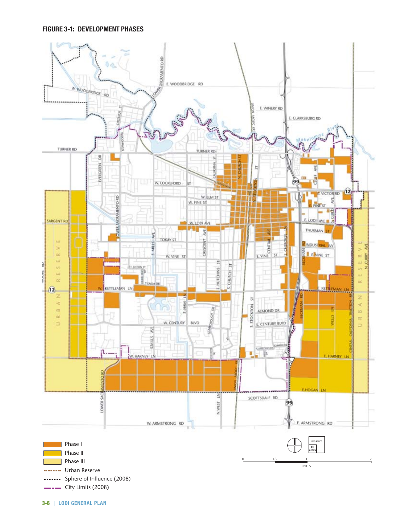

 $\overline{\phantom{a}}$  City Limits (2008)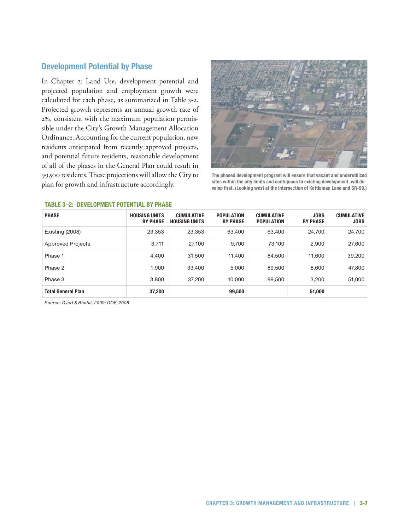## **Development Potential by Phase**

In Chapter 2: Land Use, development potential and projected population and employment growth were calculated for each phase, as summarized in Table 3-2. Projected growth represents an annual growth rate of 2%, consistent with the maximum population permissible under the City's Growth Management Allocation Ordinance. Accounting for the current population, new residents anticipated from recently approved projects, and potential future residents, reasonable development of all of the phases in the General Plan could result in 99,500 residents. These projections will allow the City to plan for growth and infrastructure accordingly.



**The phased development program will ensure that vacant and underutilized sites within the city limits and contiguous to existing development, will develop first. (Looking west at the intersection of Kettleman Lane and SR-99.)**

| <b>PHASE</b>              | <b>HOUSING UNITS</b><br><b>BY PHASE</b> | <b>CUMULATIVE</b><br><b>HOUSING UNITS</b> | <b>POPULATION</b><br><b>BY PHASE</b> | <b>CUMULATIVE</b><br><b>POPULATION</b> | <b>JOBS</b><br><b>BY PHASE</b> | <b>CUMULATIVE</b><br><b>JOBS</b> |
|---------------------------|-----------------------------------------|-------------------------------------------|--------------------------------------|----------------------------------------|--------------------------------|----------------------------------|
| Existing (2008)           | 23,353                                  | 23,353                                    | 63.400                               | 63,400                                 | 24.700                         | 24,700                           |
| <b>Approved Projects</b>  | 3,711                                   | 27,100                                    | 9,700                                | 73,100                                 | 2,900                          | 27,600                           |
| Phase 1                   | 4,400                                   | 31.500                                    | 11.400                               | 84,500                                 | 11,600                         | 39,200                           |
| Phase 2                   | 1.900                                   | 33,400                                    | 5,000                                | 89,500                                 | 8,600                          | 47,800                           |
| Phase 3                   | 3,800                                   | 37,200                                    | 10.000                               | 99,500                                 | 3,200                          | 51,000                           |
| <b>Total General Plan</b> | 37,200                                  |                                           | 99,500                               |                                        | 51,000                         |                                  |

#### **Table 3–2: Development Potential by Phase**

*Source: Dyett & Bhatia, 2009; DOF, 2008.*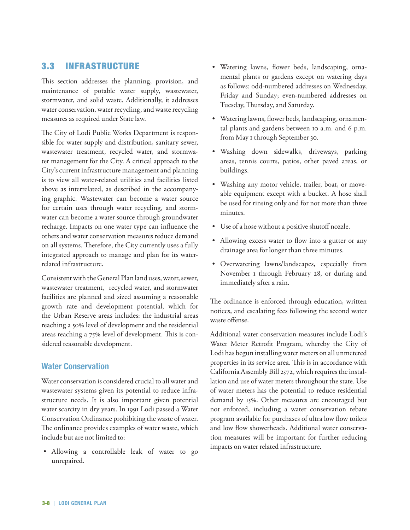## 3.3 Infrastructure

This section addresses the planning, provision, and maintenance of potable water supply, wastewater, stormwater, and solid waste. Additionally, it addresses water conservation, water recycling, and waste recycling measures as required under State law.

The City of Lodi Public Works Department is responsible for water supply and distribution, sanitary sewer, wastewater treatment, recycled water, and stormwater management for the City. A critical approach to the City's current infrastructure management and planning is to view all water-related utilities and facilities listed above as interrelated, as described in the accompanying graphic. Wastewater can become a water source for certain uses through water recycling, and stormwater can become a water source through groundwater recharge. Impacts on one water type can influence the others and water conservation measures reduce demand on all systems. Therefore, the City currently uses a fully integrated approach to manage and plan for its waterrelated infrastructure.

Consistent with the General Plan land uses, water, sewer, wastewater treatment, recycled water, and stormwater facilities are planned and sized assuming a reasonable growth rate and development potential, which for the Urban Reserve areas includes: the industrial areas reaching a 50% level of development and the residential areas reaching a 75% level of development. This is considered reasonable development.

### **Water Conservation**

Water conservation is considered crucial to all water and wastewater systems given its potential to reduce infrastructure needs. It is also important given potential water scarcity in dry years. In 1991 Lodi passed a Water Conservation Ordinance prohibiting the waste of water. The ordinance provides examples of water waste, which include but are not limited to:

• Allowing a controllable leak of water to go unrepaired.

- • Watering lawns, flower beds, landscaping, ornamental plants or gardens except on watering days as follows: odd-numbered addresses on Wednesday, Friday and Sunday; even-numbered addresses on Tuesday, Thursday, and Saturday.
- • Watering lawns, flower beds, landscaping, ornamental plants and gardens between 10 a.m. and 6 p.m. from May 1 through September 30.
- • Washing down sidewalks, driveways, parking areas, tennis courts, patios, other paved areas, or buildings.
- • Washing any motor vehicle, trailer, boat, or moveable equipment except with a bucket. A hose shall be used for rinsing only and for not more than three minutes.
- • Use of a hose without a positive shutoff nozzle.
- Allowing excess water to flow into a gutter or any drainage area for longer than three minutes.
- • Overwatering lawns/landscapes, especially from November 1 through February 28, or during and immediately after a rain.

The ordinance is enforced through education, written notices, and escalating fees following the second water waste offense.

Additional water conservation measures include Lodi's Water Meter Retrofit Program, whereby the City of Lodi has begun installing water meters on all unmetered properties in its service area. This is in accordance with California Assembly Bill 2572, which requires the installation and use of water meters throughout the state. Use of water meters has the potential to reduce residential demand by 15%. Other measures are encouraged but not enforced, including a water conservation rebate program available for purchases of ultra low flow toilets and low flow showerheads. Additional water conservation measures will be important for further reducing impacts on water related infrastructure.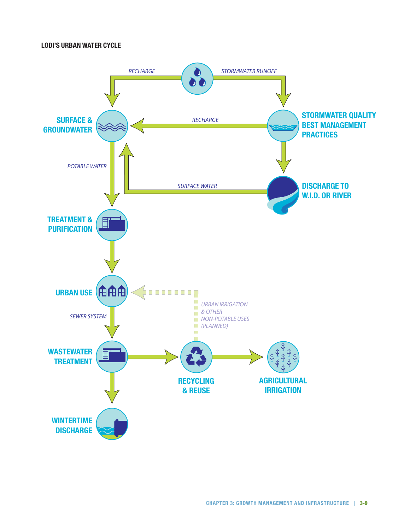### **Lodi's Urban Water Cycle**

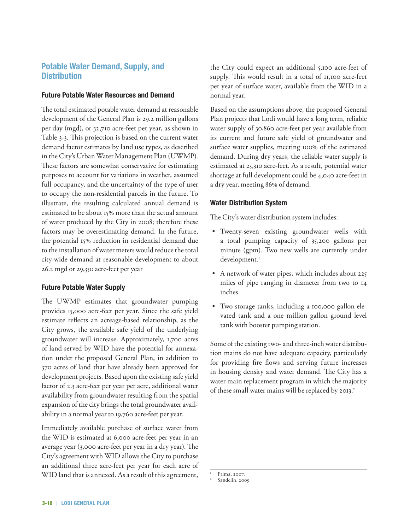## **Potable Water Demand, Supply, and Distribution**

#### **Future Potable Water Resources and Demand**

The total estimated potable water demand at reasonable development of the General Plan is 29.2 million gallons per day (mgd), or 32,710 acre-feet per year, as shown in Table 3-3. This projection is based on the current water demand factor estimates by land use types, as described in the City's Urban Water Management Plan (UWMP). These factors are somewhat conservative for estimating purposes to account for variations in weather, assumed full occupancy, and the uncertainty of the type of user to occupy the non-residential parcels in the future. To illustrate, the resulting calculated annual demand is estimated to be about 15% more than the actual amount of water produced by the City in 2008; therefore these factors may be overestimating demand. In the future, the potential 15% reduction in residential demand due to the installation of water meters would reduce the total city-wide demand at reasonable development to about 26.2 mgd or 29,350 acre-feet per year

### **Future Potable Water Supply**

The UWMP estimates that groundwater pumping provides 15,000 acre-feet per year. Since the safe yield estimate reflects an acreage-based relationship, as the City grows, the available safe yield of the underlying groundwater will increase. Approximately, 1,700 acres of land served by WID have the potential for annexation under the proposed General Plan, in addition to 370 acres of land that have already been approved for development projects. Based upon the existing safe yield factor of 2.3 acre-feet per year per acre, additional water availability from groundwater resulting from the spatial expansion of the city brings the total groundwater availability in a normal year to 19,760 acre-feet per year.

Immediately available purchase of surface water from the WID is estimated at 6,000 acre-feet per year in an average year (3,000 acre-feet per year in a dry year). The City's agreement with WID allows the City to purchase an additional three acre-feet per year for each acre of WID land that is annexed. As a result of this agreement, the City could expect an additional 5,100 acre-feet of supply. This would result in a total of 11,100 acre-feet per year of surface water, available from the WID in a normal year.

Based on the assumptions above, the proposed General Plan projects that Lodi would have a long term, reliable water supply of 30,860 acre-feet per year available from its current and future safe yield of groundwater and surface water supplies, meeting 100% of the estimated demand. During dry years, the reliable water supply is estimated at 25,310 acre-feet. As a result, potential water shortage at full development could be 4,040 acre-feet in a dry year, meeting 86% of demand.

#### **Water Distribution System**

The City's water distribution system includes:

- • Twenty-seven existing groundwater wells with a total pumping capacity of 35,200 gallons per minute (gpm). Two new wells are currently under development.<sup>1</sup>
- A network of water pipes, which includes about 225 miles of pipe ranging in diameter from two to 14 inches.
- Two storage tanks, including a 100,000 gallon elevated tank and a one million gallon ground level tank with booster pumping station.

Some of the existing two- and three-inch water distribution mains do not have adequate capacity, particularly for providing fire flows and serving future increases in housing density and water demand. The City has a water main replacement program in which the majority of these small water mains will be replaced by 2013.<sup>2</sup>

Prima, 2007.<br>Sandelin, 2009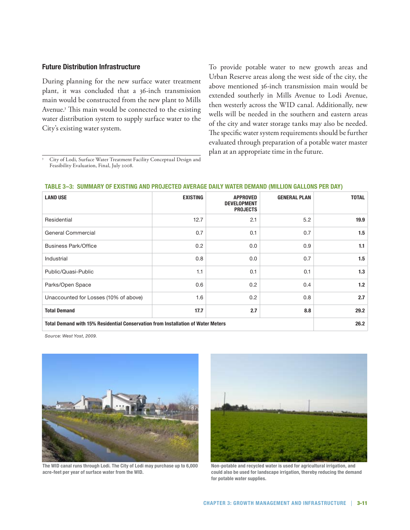#### **Future Distribution Infrastructure**

During planning for the new surface water treatment plant, it was concluded that a 36-inch transmission main would be constructed from the new plant to Mills Avenue.3 This main would be connected to the existing water distribution system to supply surface water to the City's existing water system.

To provide potable water to new growth areas and Urban Reserve areas along the west side of the city, the above mentioned 36-inch transmission main would be extended southerly in Mills Avenue to Lodi Avenue, then westerly across the WID canal. Additionally, new wells will be needed in the southern and eastern areas of the city and water storage tanks may also be needed. The specific water system requirements should be further evaluated through preparation of a potable water master plan at an appropriate time in the future.

<sup>3</sup> City of Lodi, Surface Water Treatment Facility Conceptual Design and Feasibility Evaluation, Final, July 2008.

| <b>LAND USE</b>                                                                  | <b>EXISTING</b> | <b>APPROVED</b><br><b>DEVELOPMENT</b><br><b>PROJECTS</b> | <b>GENERAL PLAN</b> | <b>TOTAL</b> |  |  |
|----------------------------------------------------------------------------------|-----------------|----------------------------------------------------------|---------------------|--------------|--|--|
| Residential                                                                      | 12.7            | 2.1                                                      | 5.2                 | 19.9         |  |  |
| General Commercial                                                               | 0.7             | 0.1                                                      | 0.7                 | 1.5          |  |  |
| <b>Business Park/Office</b>                                                      | 0.2             | 0.0                                                      | 0.9                 | 1.1          |  |  |
| Industrial                                                                       | 0.8             | 0.0                                                      | 0.7                 | 1.5          |  |  |
| Public/Quasi-Public                                                              | 1.1             | 0.1                                                      | 0.1                 | 1.3          |  |  |
| Parks/Open Space                                                                 | 0.6             | 0.2                                                      | 0.4                 | 1.2          |  |  |
| Unaccounted for Losses (10% of above)                                            | 1.6             | 0.2                                                      | 0.8                 | 2.7          |  |  |
| <b>Total Demand</b>                                                              | 17.7            | 2.7                                                      | 8.8                 | 29.2         |  |  |
| Total Demand with 15% Residential Conservation from Installation of Water Meters | 26.2            |                                                          |                     |              |  |  |

#### **Table 3–3: Summary of Existing and Projected Average Daily Water Demand (Million Gallons Per Day)**

*Source: West Yost, 2009.* 



**The WID canal runs through Lodi. The City of Lodi may purchase up to 6,000 acre-feet per year of surface water from the WID.**



**Non-potable and recycled water is used for agricultural irrigation, and could also be used for landscape irrigation, thereby reducing the demand for potable water supplies.**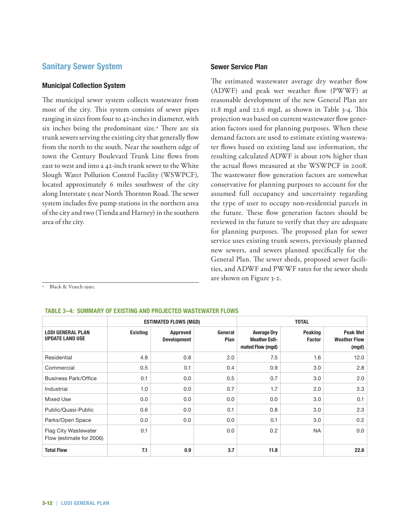### **Sanitary Sewer System**

#### **Municipal Collection System**

The municipal sewer system collects wastewater from most of the city. This system consists of sewer pipes ranging in sizes from four to 42-inches in diameter, with six inches being the predominant size.<sup>4</sup> There are six trunk sewers serving the existing city that generally flow from the north to the south. Near the southern edge of town the Century Boulevard Trunk Line flows from east to west and into a 42-inch trunk sewer to the White Slough Water Pollution Control Facility (WSWPCF), located approximately 6 miles southwest of the city along Interstate 5 near North Thornton Road. The sewer system includes five pump stations in the northern area of the city and two (Tienda and Harney) in the southern area of the city.

#### **Sewer Service Plan**

The estimated wastewater average dry weather flow (ADWF) and peak wet weather flow (PWWF) at reasonable development of the new General Plan are 11.8 mgd and 22.6 mgd, as shown in Table 3-4. This projection was based on current wastewater flow generation factors used for planning purposes. When these demand factors are used to estimate existing wastewater flows based on existing land use information, the resulting calculated ADWF is about 10% higher than the actual flows measured at the WSWPCF in 2008. The wastewater flow generation factors are somewhat conservative for planning purposes to account for the assumed full occupancy and uncertainty regarding the type of user to occupy non-residential parcels in the future. These flow generation factors should be reviewed in the future to verify that they are adequate for planning purposes. The proposed plan for sewer service uses existing trunk sewers, previously planned new sewers, and sewers planned specifically for the General Plan. The sewer sheds, proposed sewer facilities, and ADWF and PWWF rates for the sewer sheds are shown on Figure 3-2.

Black & Veatch 1990.

#### **Table 3–4: Summary of Existing and Projected Wastewater Flows**

|                                                    | <b>ESTIMATED FLOWS (MGD)</b> |                                       |                 | <b>TOTAL</b>                                                   |                                 |                                                 |
|----------------------------------------------------|------------------------------|---------------------------------------|-----------------|----------------------------------------------------------------|---------------------------------|-------------------------------------------------|
| <b>LODI GENERAL PLAN</b><br><b>UPDATE LAND USE</b> | <b>Existing</b>              | <b>Approved</b><br><b>Development</b> | General<br>Plan | <b>Average Dry</b><br><b>Weather Esti-</b><br>mated Flow (mgd) | <b>Peaking</b><br><b>Factor</b> | <b>Peak Wet</b><br><b>Weather Flow</b><br>(mgd) |
| Residential                                        | 4.8                          | 0.8                                   | 2.0             | 7.5                                                            | 1.6                             | 12.0                                            |
| Commercial                                         | 0.5                          | 0.1                                   | 0.4             | 0.9                                                            | 3.0                             | 2.8                                             |
| Business Park/Office                               | 0.1                          | 0.0                                   | 0.5             | 0.7                                                            | 3.0                             | 2.0                                             |
| Industrial                                         | 1.0                          | 0.0                                   | 0.7             | 1.7                                                            | 2.0                             | 3.3                                             |
| Mixed Use                                          | 0.0                          | 0.0                                   | 0.0             | 0.0                                                            | 3.0                             | 0.1                                             |
| Public/Quasi-Public                                | 0.6                          | 0.0                                   | 0.1             | 0.8                                                            | 3.0                             | 2.3                                             |
| Parks/Open Space                                   | 0.0                          | 0.0                                   | 0.0             | 0.1                                                            | 3.0                             | 0.2                                             |
| Flag City Wastewater<br>Flow (estimate for 2006)   | 0.1                          |                                       | 0.0             | 0.2                                                            | <b>NA</b>                       | 0.0                                             |
| <b>Total Flow</b>                                  | 7.1                          | 0.9                                   | 3.7             | 11.8                                                           |                                 | 22.6                                            |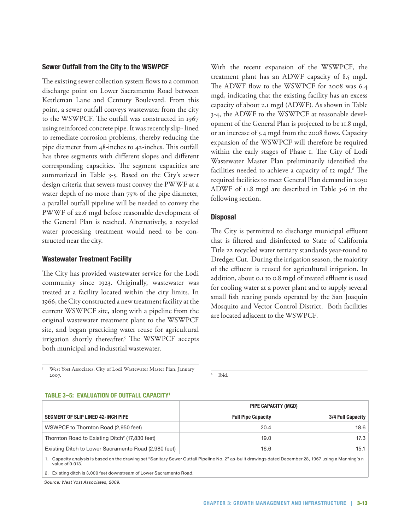#### **Sewer Outfall from the City to the WSWPCF**

The existing sewer collection system flows to a common discharge point on Lower Sacramento Road between Kettleman Lane and Century Boulevard. From this point, a sewer outfall conveys wastewater from the city to the WSWPCF. The outfall was constructed in 1967 using reinforced concrete pipe. It was recently slip- lined to remediate corrosion problems, thereby reducing the pipe diameter from 48-inches to 42-inches. This outfall has three segments with different slopes and different corresponding capacities. The segment capacities are summarized in Table 3-5. Based on the City's sewer design criteria that sewers must convey the PWWF at a water depth of no more than 75% of the pipe diameter, a parallel outfall pipeline will be needed to convey the PWWF of 22.6 mgd before reasonable development of the General Plan is reached. Alternatively, a recycled water processing treatment would need to be constructed near the city.

#### **Wastewater Treatment Facility**

The City has provided wastewater service for the Lodi community since 1923. Originally, wastewater was treated at a facility located within the city limits. In 1966, the City constructed a new treatment facility at the current WSWPCF site, along with a pipeline from the original wastewater treatment plant to the WSWPCF site, and began practicing water reuse for agricultural irrigation shortly thereafter.5 The WSWPCF accepts both municipal and industrial wastewater.

With the recent expansion of the WSWPCF, the treatment plant has an ADWF capacity of 8.5 mgd. The ADWF flow to the WSWPCF for 2008 was 6.4 mgd, indicating that the existing facility has an excess capacity of about 2.1 mgd (ADWF). As shown in Table 3-4, the ADWF to the WSWPCF at reasonable development of the General Plan is projected to be 11.8 mgd, or an increase of 5.4 mgd from the 2008 flows. Capacity expansion of the WSWPCF will therefore be required within the early stages of Phase 1. The City of Lodi Wastewater Master Plan preliminarily identified the facilities needed to achieve a capacity of 12 mgd.<sup>6</sup> The required facilities to meet General Plan demand in 2030 ADWF of 11.8 mgd are described in Table 3-6 in the following section.

### **Disposal**

The City is permitted to discharge municipal effluent that is filtered and disinfected to State of California Title 22 recycled water tertiary standards year-round to Dredger Cut. During the irrigation season, the majority of the effluent is reused for agricultural irrigation. In addition, about 0.1 to 0.8 mgd of treated effluent is used for cooling water at a power plant and to supply several small fish rearing ponds operated by the San Joaquin Mosquito and Vector Control District. Both facilities are located adjacent to the WSWPCF.

<sup>5</sup> West Yost Associates, City of Lodi Wastewater Master Plan, January 2007.

Ibid.

#### **Table 3–5: Evaluation of Outfall Capacity1**

|                                                            | PIPE CAPACITY (MGD)       |                   |  |
|------------------------------------------------------------|---------------------------|-------------------|--|
| SEGMENT OF SLIP LINED 42-INCH PIPE                         | <b>Full Pipe Capacity</b> | 3/4 Full Capacity |  |
| WSWPCF to Thornton Road (2,950 feet)                       | 20.4                      | 18.6              |  |
| Thornton Road to Existing Ditch <sup>2</sup> (17,830 feet) | 19.0                      | 17.3              |  |
| Existing Ditch to Lower Sacramento Road (2,980 feet)       | 16.6                      | 15.1              |  |

1. Capacity analysis is based on the drawing set "Sanitary Sewer Outfall Pipeline No. 2" as-built drawings dated December 28, 1967 using a Manning's n value of 0.013.

2. Existing ditch is 3,000 feet downstream of Lower Sacramento Road.

*Source: West Yost Associates, 2009.*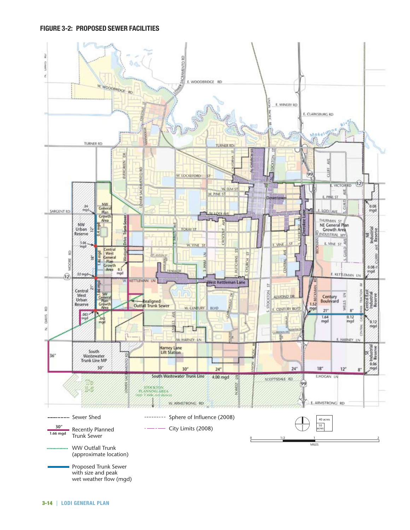#### **Figure 3-2: Proposed Sewer Facilities**

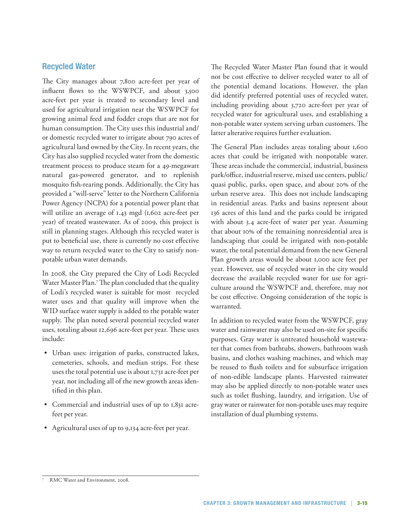## **Recycled Water**

The City manages about 7,800 acre-feet per year of influent flows to the WSWPCF, and about 3,500 acre-feet per year is treated to secondary level and used for agricultural irrigation near the WSWPCF for growing animal feed and fodder crops that are not for human consumption. The City uses this industrial and/ or domestic recycled water to irrigate about 790 acres of agricultural land owned by the City. In recent years, the City has also supplied recycled water from the domestic treatment process to produce steam for a 49-megawatt natural gas-powered generator, and to replenish mosquito fish-rearing ponds. Additionally, the City has provided a "will-serve" letter to the Northern California Power Agency (NCPA) for a potential power plant that will utilize an average of 1.43 mgd (1,602 acre-feet per year) of treated wastewater. As of 2009, this project is still in planning stages. Although this recycled water is put to beneficial use, there is currently no cost effective way to return recycled water to the City to satisfy nonpotable urban water demands.

In 2008, the City prepared the City of Lodi Recycled Water Master Plan.7 The plan concluded that the quality of Lodi's recycled water is suitable for most recycled water uses and that quality will improve when the WID surface water supply is added to the potable water supply. The plan noted several potential recycled water uses, totaling about 12,696 acre-feet per year. These uses include:

- • Urban uses: irrigation of parks, constructed lakes, cemeteries, schools, and median strips. For these uses the total potential use is about 1,731 acre-feet per year, not including all of the new growth areas identified in this plan.
- • Commercial and industrial uses of up to 1,831 acrefeet per year.
- Agricultural uses of up to 9,134 acre-feet per year.

The Recycled Water Master Plan found that it would not be cost effective to deliver recycled water to all of the potential demand locations. However, the plan did identify preferred potential uses of recycled water, including providing about 3,720 acre-feet per year of recycled water for agricultural uses, and establishing a non-potable water system serving urban customers. The latter alterative requires further evaluation.

The General Plan includes areas totaling about 1,600 acres that could be irrigated with nonpotable water. These areas include the commercial, industrial, business park/office, industrial reserve, mixed use centers, public/ quasi public, parks, open space, and about 20% of the urban reserve area. This does not include landscaping in residential areas. Parks and basins represent about 136 acres of this land and the parks could be irrigated with about 3.4 acre-feet of water per year. Assuming that about 10% of the remaining nonresidential area is landscaping that could be irrigated with non-potable water, the total potential demand from the new General Plan growth areas would be about 1,000 acre feet per year. However, use of recycled water in the city would decrease the available recycled water for use for agriculture around the WSWPCF and, therefore, may not be cost effective. Ongoing consideration of the topic is warranted.

In addition to recycled water from the WSWPCF, gray water and rainwater may also be used on-site for specific purposes. Gray water is untreated household wastewater that comes from bathtubs, showers, bathroom wash basins, and clothes washing machines, and which may be reused to flush toilets and for subsurface irrigation of non-edible landscape plants. Harvested rainwater may also be applied directly to non-potable water uses such as toilet flushing, laundry, and irrigation. Use of gray water or rainwater for non-potable uses may require installation of dual plumbing systems.

RMC Water and Environment, 2008.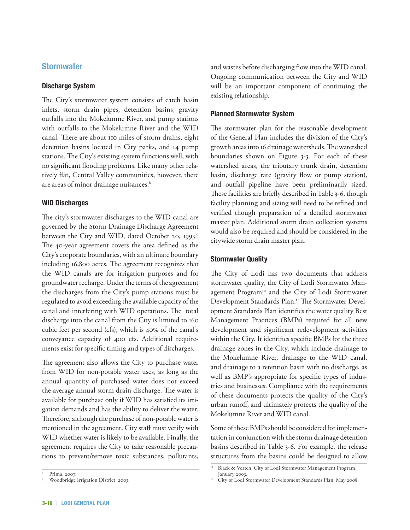### **Stormwater**

#### **Discharge System**

The City's stormwater system consists of catch basin inlets, storm drain pipes, detention basins, gravity outfalls into the Mokelumne River, and pump stations with outfalls to the Mokelumne River and the WID canal. There are about 110 miles of storm drains, eight detention basins located in City parks, and 14 pump stations. The City's existing system functions well, with no significant flooding problems. Like many other relatively flat, Central Valley communities, however, there are areas of minor drainage nuisances.<sup>8</sup>

#### **WID Discharges**

The city's stormwater discharges to the WID canal are governed by the Storm Drainage Discharge Agreement between the City and WID, dated October 20, 1993.9 The 40-year agreement covers the area defined as the City's corporate boundaries, with an ultimate boundary including 16,800 acres. The agreement recognizes that the WID canals are for irrigation purposes and for groundwater recharge. Under the terms of the agreement the discharges from the City's pump stations must be regulated to avoid exceeding the available capacity of the canal and interfering with WID operations. The total discharge into the canal from the City is limited to 160 cubic feet per second (cfs), which is 40% of the canal's conveyance capacity of 400 cfs. Additional requirements exist for specific timing and types of discharges.

The agreement also allows the City to purchase water from WID for non-potable water uses, as long as the annual quantity of purchased water does not exceed the average annual storm drain discharge. The water is available for purchase only if WID has satisfied its irrigation demands and has the ability to deliver the water. Therefore, although the purchase of non-potable water is mentioned in the agreement, City staff must verify with WID whether water is likely to be available. Finally, the agreement requires the City to take reasonable precautions to prevent/remove toxic substances, pollutants,

and wastes before discharging flow into the WID canal. Ongoing communication between the City and WID will be an important component of continuing the existing relationship.

#### **Planned Stormwater System**

The stormwater plan for the reasonable development of the General Plan includes the division of the City's growth areas into 16 drainage watersheds. The watershed boundaries shown on Figure 3-3. For each of these watershed areas, the tributary trunk drain, detention basin, discharge rate (gravity flow or pump station), and outfall pipeline have been preliminarily sized. These facilities are briefly described in Table 3-6, though facility planning and sizing will need to be refined and verified though preparation of a detailed stormwater master plan. Additional storm drain collection systems would also be required and should be considered in the citywide storm drain master plan.

### **Stormwater Quality**

The City of Lodi has two documents that address stormwater quality, the City of Lodi Stormwater Management Program<sup>10</sup> and the City of Lodi Stormwater Development Standards Plan.<sup>11</sup> The Stormwater Development Standards Plan identifies the water quality Best Management Practices (BMPs) required for all new development and significant redevelopment activities within the City. It identifies specific BMPs for the three drainage zones in the City, which include drainage to the Mokelumne River, drainage to the WID canal, and drainage to a retention basin with no discharge, as well as BMP's appropriate for specific types of industries and businesses. Compliance with the requirements of these documents protects the quality of the City's urban runoff, and ultimately protects the quality of the Mokelumne River and WID canal.

Some of these BMPs should be considered for implementation in conjunction with the storm drainage detention basins described in Table 3-6. For example, the release structures from the basins could be designed to allow

Black & Veatch, City of Lodi Stormwater Management Program, January 2003.

Prima, 2007.<br>Woodbridge Irrigation District, 2003.

<sup>&</sup>lt;sup>11</sup> City of Lodi Stormwater Development Standards Plan, May 2008.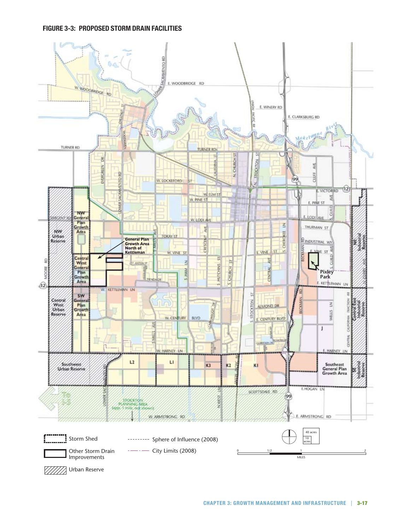### **Figure 3-3: Proposed Storm Drain Facilities**

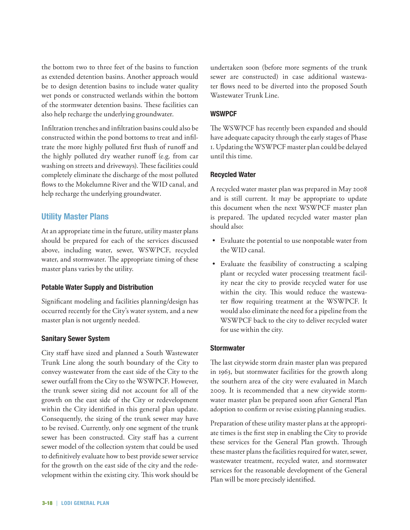the bottom two to three feet of the basins to function as extended detention basins. Another approach would be to design detention basins to include water quality wet ponds or constructed wetlands within the bottom of the stormwater detention basins. These facilities can also help recharge the underlying groundwater.

Infiltration trenches and infiltration basins could also be constructed within the pond bottoms to treat and infiltrate the more highly polluted first flush of runoff and the highly polluted dry weather runoff (e.g. from car washing on streets and driveways). These facilities could completely eliminate the discharge of the most polluted flows to the Mokelumne River and the WID canal, and help recharge the underlying groundwater.

## **Utility Master Plans**

At an appropriate time in the future, utility master plans should be prepared for each of the services discussed above, including water, sewer, WSWPCF, recycled water, and stormwater. The appropriate timing of these master plans varies by the utility.

### **Potable Water Supply and Distribution**

Significant modeling and facilities planning/design has occurred recently for the City's water system, and a new master plan is not urgently needed.

### **Sanitary Sewer System**

City staff have sized and planned a South Wastewater Trunk Line along the south boundary of the City to convey wastewater from the east side of the City to the sewer outfall from the City to the WSWPCF. However, the trunk sewer sizing did not account for all of the growth on the east side of the City or redevelopment within the City identified in this general plan update. Consequently, the sizing of the trunk sewer may have to be revised. Currently, only one segment of the trunk sewer has been constructed. City staff has a current sewer model of the collection system that could be used to definitively evaluate how to best provide sewer service for the growth on the east side of the city and the redevelopment within the existing city. This work should be undertaken soon (before more segments of the trunk sewer are constructed) in case additional wastewater flows need to be diverted into the proposed South Wastewater Trunk Line.

#### **WSWPCF**

The WSWPCF has recently been expanded and should have adequate capacity through the early stages of Phase 1. Updating the WSWPCF master plan could be delayed until this time.

#### **Recycled Water**

A recycled water master plan was prepared in May 2008 and is still current. It may be appropriate to update this document when the next WSWPCF master plan is prepared. The updated recycled water master plan should also:

- • Evaluate the potential to use nonpotable water from the WID canal.
- • Evaluate the feasibility of constructing a scalping plant or recycled water processing treatment facility near the city to provide recycled water for use within the city. This would reduce the wastewater flow requiring treatment at the WSWPCF. It would also eliminate the need for a pipeline from the WSWPCF back to the city to deliver recycled water for use within the city.

### **Stormwater**

The last citywide storm drain master plan was prepared in 1963, but stormwater facilities for the growth along the southern area of the city were evaluated in March 2009. It is recommended that a new citywide stormwater master plan be prepared soon after General Plan adoption to confirm or revise existing planning studies.

Preparation of these utility master plans at the appropriate times is the first step in enabling the City to provide these services for the General Plan growth. Through these master plans the facilities required for water, sewer, wastewater treatment, recycled water, and stormwater services for the reasonable development of the General Plan will be more precisely identified.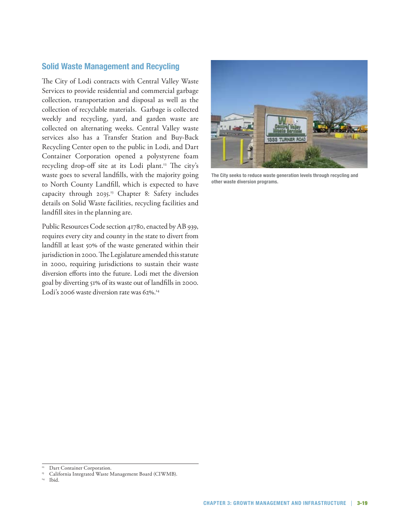## **Solid Waste Management and Recycling**

The City of Lodi contracts with Central Valley Waste Services to provide residential and commercial garbage collection, transportation and disposal as well as the collection of recyclable materials. Garbage is collected weekly and recycling, yard, and garden waste are collected on alternating weeks. Central Valley waste services also has a Transfer Station and Buy-Back Recycling Center open to the public in Lodi, and Dart Container Corporation opened a polystyrene foam recycling drop-off site at its Lodi plant.<sup>12</sup> The city's waste goes to several landfills, with the majority going to North County Landfill, which is expected to have capacity through 2035.13 Chapter 8: Safety includes details on Solid Waste facilities, recycling facilities and landfill sites in the planning are.

Public Resources Code section 41780, enacted by AB 939, requires every city and county in the state to divert from landfill at least 50% of the waste generated within their jurisdiction in 2000. The Legislature amended this statute in 2000, requiring jurisdictions to sustain their waste diversion efforts into the future. Lodi met the diversion goal by diverting 51% of its waste out of landfills in 2000. Lodi's 2006 waste diversion rate was 62%.<sup>14</sup>



**The City seeks to reduce waste generation levels through recycling and other waste diversion programs.**

Dart Container Corporation.

<sup>13</sup> California Integrated Waste Management Board (CIWMB). 14 Ibid.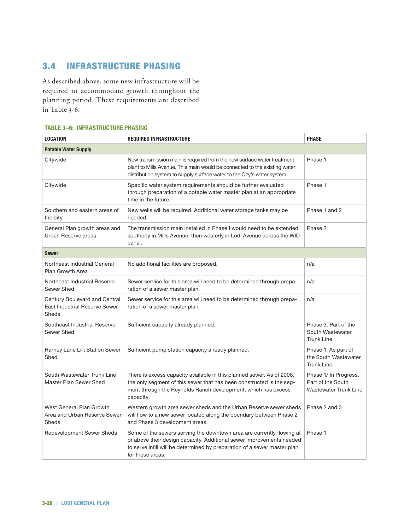# 3.4 Infrastructure Phasing

As described above, some new infrastructure will be required to accommodate growth throughout the planning period. These requirements are described in Table 3-6.

|  | <b>TABLE 3-6: INFRASTRUCTURE PHASING</b> |
|--|------------------------------------------|
|--|------------------------------------------|

| <b>LOCATION</b><br><b>REQUIRED INFRASTRUCTURE</b>                        |                                                                                                                                                                                                                                               | <b>PHASE</b>                                                        |  |  |  |  |
|--------------------------------------------------------------------------|-----------------------------------------------------------------------------------------------------------------------------------------------------------------------------------------------------------------------------------------------|---------------------------------------------------------------------|--|--|--|--|
| <b>Potable Water Supply</b>                                              |                                                                                                                                                                                                                                               |                                                                     |  |  |  |  |
| Citywide                                                                 | New transmission main is required from the new surface water treatment<br>plant to Mills Avenue. This main would be connected to the existing water<br>distribution system to supply surface water to the City's water system.                | Phase 1                                                             |  |  |  |  |
| Citywide                                                                 | Specific water system requirements should be further evaluated<br>through preparation of a potable water master plan at an appropriate<br>time in the future.                                                                                 | Phase 1                                                             |  |  |  |  |
| Southern and eastern areas of<br>the city                                | New wells will be required. Additional water storage tanks may be<br>needed.                                                                                                                                                                  | Phase 1 and 2                                                       |  |  |  |  |
| General Plan growth areas and<br>Urban Reserve areas                     | The transmission main installed in Phase I would need to be extended<br>southerly in Mills Avenue, then westerly in Lodi Avenue across the WID<br>canal.                                                                                      | Phase 2                                                             |  |  |  |  |
| <b>Sewer</b>                                                             |                                                                                                                                                                                                                                               |                                                                     |  |  |  |  |
| Northeast Industrial General<br>Plan Growth Area                         | No additional facilities are proposed.                                                                                                                                                                                                        | n/a                                                                 |  |  |  |  |
| Northeast Industrial Reserve<br>Sewer Shed                               | Sewer service for this area will need to be determined through prepa-<br>ration of a sewer master plan.                                                                                                                                       | n/a                                                                 |  |  |  |  |
| Century Boulevard and Central<br>East Industrial Reserve Sewer<br>Sheds  | Sewer service for this area will need to be determined through prepa-<br>ration of a sewer master plan.                                                                                                                                       | n/a                                                                 |  |  |  |  |
| Southeast Industrial Reserve<br>Sewer Shed                               | Sufficient capacity already planned.                                                                                                                                                                                                          | Phase 3. Part of the<br>South Wastewater<br><b>Trunk Line</b>       |  |  |  |  |
| Harney Lane Lift Station Sewer<br>Shed                                   | Sufficient pump station capacity already planned.                                                                                                                                                                                             | Phase 1. As part of<br>the South Wastewater<br><b>Trunk Line</b>    |  |  |  |  |
| South Wastewater Trunk Line<br>Master Plan Sewer Shed                    | There is excess capacity available in this planned sewer. As of 2008,<br>the only segment of this sewer that has been constructed is the seg-<br>ment through the Reynolds Ranch development, which has excess<br>capacity.                   | Phase 1/ In Progress.<br>Part of the South<br>Wastewater Trunk Line |  |  |  |  |
| West General Plan Growth<br>Area and Urban Reserve Sewer<br><b>Sheds</b> | Western growth area sewer sheds and the Urban Reserve sewer sheds<br>will flow to a new sewer located along the boundary between Phase 2<br>and Phase 3 development areas.                                                                    | Phase 2 and 3                                                       |  |  |  |  |
| Redevelopment Sewer Sheds                                                | Some of the sewers serving the downtown area are currently flowing at<br>or above their design capacity. Additional sewer improvements needed<br>to serve infill will be determined by preparation of a sewer master plan<br>for these areas. | Phase 1                                                             |  |  |  |  |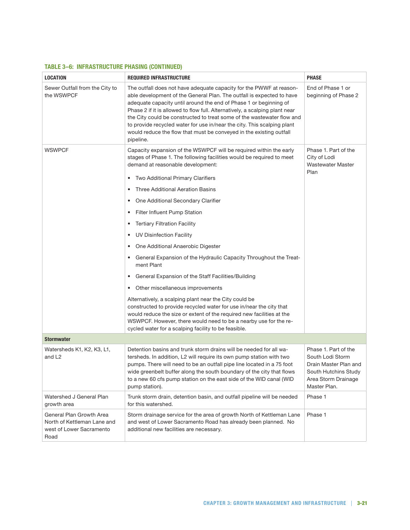### **Table 3–6: Infrastructure Phasing (continued)**

| <b>LOCATION</b>                                                                             | <b>REQUIRED INFRASTRUCTURE</b>                                                                                                                                                                                                                                                                                                                                                                                                                                                                                                                                                                                                                                                                                                                                                                                                                                                                                                                                                                          | <b>PHASE</b>                                                                                                                     |
|---------------------------------------------------------------------------------------------|---------------------------------------------------------------------------------------------------------------------------------------------------------------------------------------------------------------------------------------------------------------------------------------------------------------------------------------------------------------------------------------------------------------------------------------------------------------------------------------------------------------------------------------------------------------------------------------------------------------------------------------------------------------------------------------------------------------------------------------------------------------------------------------------------------------------------------------------------------------------------------------------------------------------------------------------------------------------------------------------------------|----------------------------------------------------------------------------------------------------------------------------------|
| Sewer Outfall from the City to<br>the WSWPCF                                                | The outfall does not have adequate capacity for the PWWF at reason-<br>able development of the General Plan. The outfall is expected to have<br>adequate capacity until around the end of Phase 1 or beginning of<br>Phase 2 if it is allowed to flow full. Alternatively, a scalping plant near<br>the City could be constructed to treat some of the wastewater flow and<br>to provide recycled water for use in/near the city. This scalping plant<br>would reduce the flow that must be conveyed in the existing outfall<br>pipeline.                                                                                                                                                                                                                                                                                                                                                                                                                                                               | End of Phase 1 or<br>beginning of Phase 2                                                                                        |
| <b>WSWPCF</b>                                                                               | Capacity expansion of the WSWPCF will be required within the early<br>stages of Phase 1. The following facilities would be required to meet<br>demand at reasonable development:<br>Two Additional Primary Clarifiers<br>$\bullet$<br>Three Additional Aeration Basins<br>One Additional Secondary Clarifier<br>٠<br>Filter Influent Pump Station<br>٠<br><b>Tertiary Filtration Facility</b><br>٠<br>UV Disinfection Facility<br>٠<br>One Additional Anaerobic Digester<br>٠<br>General Expansion of the Hydraulic Capacity Throughout the Treat-<br>ment Plant<br>General Expansion of the Staff Facilities/Building<br>٠<br>• Other miscellaneous improvements<br>Alternatively, a scalping plant near the City could be<br>constructed to provide recycled water for use in/near the city that<br>would reduce the size or extent of the required new facilities at the<br>WSWPCF. However, there would need to be a nearby use for the re-<br>cycled water for a scalping facility to be feasible. | Phase 1. Part of the<br>City of Lodi<br>Wastewater Master<br>Plan                                                                |
| <b>Stormwater</b>                                                                           |                                                                                                                                                                                                                                                                                                                                                                                                                                                                                                                                                                                                                                                                                                                                                                                                                                                                                                                                                                                                         |                                                                                                                                  |
| Watersheds K1, K2, K3, L1,<br>and L <sub>2</sub>                                            | Detention basins and trunk storm drains will be needed for all wa-<br>tersheds. In addition, L2 will require its own pump station with two<br>pumps. There will need to be an outfall pipe line located in a 75 foot<br>wide greenbelt buffer along the south boundary of the city that flows<br>to a new 60 cfs pump station on the east side of the WID canal (WID<br>pump station).                                                                                                                                                                                                                                                                                                                                                                                                                                                                                                                                                                                                                  | Phase 1. Part of the<br>South Lodi Storm<br>Drain Master Plan and<br>South Hutchins Study<br>Area Storm Drainage<br>Master Plan. |
| Watershed J General Plan<br>growth area                                                     | Trunk storm drain, detention basin, and outfall pipeline will be needed<br>for this watershed.                                                                                                                                                                                                                                                                                                                                                                                                                                                                                                                                                                                                                                                                                                                                                                                                                                                                                                          | Phase 1                                                                                                                          |
| General Plan Growth Area<br>North of Kettleman Lane and<br>west of Lower Sacramento<br>Road | Storm drainage service for the area of growth North of Kettleman Lane<br>and west of Lower Sacramento Road has already been planned. No<br>additional new facilities are necessary.                                                                                                                                                                                                                                                                                                                                                                                                                                                                                                                                                                                                                                                                                                                                                                                                                     | Phase 1                                                                                                                          |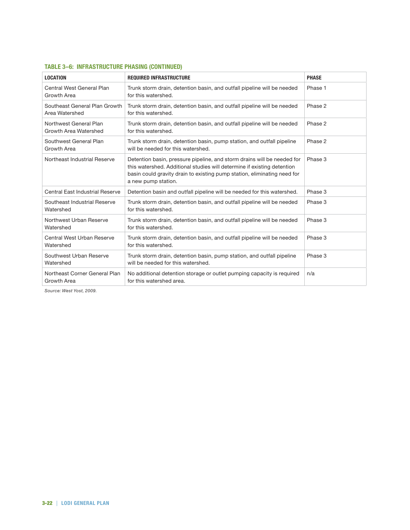| <b>LOCATION</b>                                 | <b>REQUIRED INFRASTRUCTURE</b>                                                                                                                                                                                                                        | <b>PHASE</b> |
|-------------------------------------------------|-------------------------------------------------------------------------------------------------------------------------------------------------------------------------------------------------------------------------------------------------------|--------------|
| Central West General Plan<br>Growth Area        | Trunk storm drain, detention basin, and outfall pipeline will be needed<br>for this watershed.                                                                                                                                                        | Phase 1      |
| Southeast General Plan Growth<br>Area Watershed | Trunk storm drain, detention basin, and outfall pipeline will be needed<br>for this watershed.                                                                                                                                                        | Phase 2      |
| Northwest General Plan<br>Growth Area Watershed | Trunk storm drain, detention basin, and outfall pipeline will be needed<br>for this watershed.                                                                                                                                                        | Phase 2      |
| Southwest General Plan<br>Growth Area           | Trunk storm drain, detention basin, pump station, and outfall pipeline<br>will be needed for this watershed.                                                                                                                                          | Phase 2      |
| Northeast Industrial Reserve                    | Detention basin, pressure pipeline, and storm drains will be needed for<br>this watershed. Additional studies will determine if existing detention<br>basin could gravity drain to existing pump station, eliminating need for<br>a new pump station. | Phase 3      |
| Central East Industrial Reserve                 | Detention basin and outfall pipeline will be needed for this watershed.                                                                                                                                                                               | Phase 3      |
| Southeast Industrial Reserve<br>Watershed       | Trunk storm drain, detention basin, and outfall pipeline will be needed<br>for this watershed.                                                                                                                                                        | Phase 3      |
| Northwest Urban Reserve<br>Watershed            | Trunk storm drain, detention basin, and outfall pipeline will be needed<br>for this watershed.                                                                                                                                                        | Phase 3      |
| Central West Urban Reserve<br>Watershed         | Trunk storm drain, detention basin, and outfall pipeline will be needed<br>for this watershed.                                                                                                                                                        | Phase 3      |
| Southwest Urban Reserve<br>Watershed            | Trunk storm drain, detention basin, pump station, and outfall pipeline<br>will be needed for this watershed.                                                                                                                                          | Phase 3      |
| Northeast Corner General Plan<br>Growth Area    | No additional detention storage or outlet pumping capacity is required<br>for this watershed area.                                                                                                                                                    | n/a          |

#### **Table 3–6: Infrastructure Phasing (continued)**

*Source: West Yost, 2009.*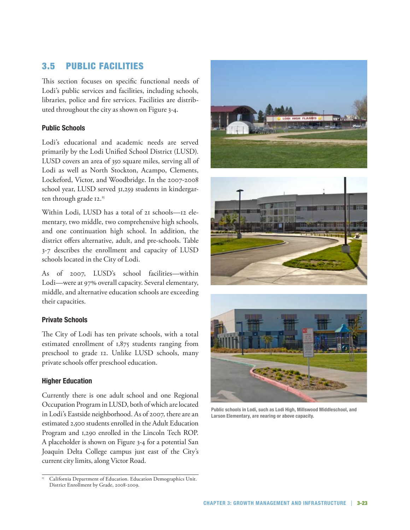# 3.5 Public Facilities

This section focuses on specific functional needs of Lodi's public services and facilities, including schools, libraries, police and fire services. Facilities are distributed throughout the city as shown on Figure 3-4.

### **Public Schools**

Lodi's educational and academic needs are served primarily by the Lodi Unified School District (LUSD). LUSD covers an area of 350 square miles, serving all of Lodi as well as North Stockton, Acampo, Clements, Lockeford, Victor, and Woodbridge. In the 2007-2008 school year, LUSD served 31,259 students in kindergarten through grade 12.<sup>15</sup>

Within Lodi, LUSD has a total of 21 schools—12 elementary, two middle, two comprehensive high schools, and one continuation high school. In addition, the district offers alternative, adult, and pre-schools. Table 3-7 describes the enrollment and capacity of LUSD schools located in the City of Lodi.

As of 2007, LUSD's school facilities—within Lodi—were at 97% overall capacity. Several elementary, middle, and alternative education schools are exceeding their capacities.

### **Private Schools**

The City of Lodi has ten private schools, with a total estimated enrollment of 1,875 students ranging from preschool to grade 12. Unlike LUSD schools, many private schools offer preschool education.

### **Higher Education**

Currently there is one adult school and one Regional Occupation Program in LUSD, both of which are located in Lodi's Eastside neighborhood. As of 2007, there are an estimated 2,500 students enrolled in the Adult Education Program and 1,290 enrolled in the Lincoln Tech ROP. A placeholder is shown on Figure 3-4 for a potential San Joaquin Delta College campus just east of the City's current city limits, along Victor Road.

California Department of Education. Education Demographics Unit. District Enrollment by Grade, 2008-2009.







**Public schools in Lodi, such as Lodi High, Millswood Middleschool, and Larson Elementary, are nearing or above capacity.**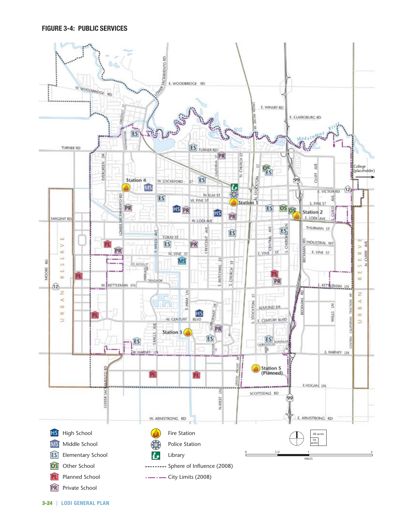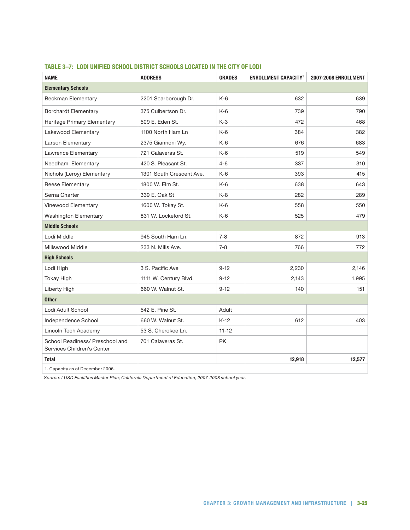| <b>NAME</b>                                                   | <b>ADDRESS</b>           | <b>GRADES</b> | <b>ENROLLMENT CAPACITY<sup>1</sup></b> | 2007-2008 ENROLLMENT |  |  |  |
|---------------------------------------------------------------|--------------------------|---------------|----------------------------------------|----------------------|--|--|--|
| <b>Elementary Schools</b>                                     |                          |               |                                        |                      |  |  |  |
| <b>Beckman Elementary</b>                                     | 2201 Scarborough Dr.     | $K-6$         | 632                                    | 639                  |  |  |  |
| <b>Borchardt Elementary</b>                                   | 375 Culbertson Dr.       | K-6           | 739                                    | 790                  |  |  |  |
| Heritage Primary Elementary                                   | 509 E. Eden St.          | $K-3$         | 472                                    | 468                  |  |  |  |
| Lakewood Elementary                                           | 1100 North Ham Ln        | $K-6$         | 384                                    | 382                  |  |  |  |
| Larson Elementary                                             | 2375 Giannoni Wy.        | $K-6$         | 676                                    | 683                  |  |  |  |
| Lawrence Elementary                                           | 721 Calaveras St.        | $K-6$         | 519                                    | 549                  |  |  |  |
| Needham Elementary                                            | 420 S. Pleasant St.      | $4 - 6$       | 337                                    | 310                  |  |  |  |
| Nichols (Leroy) Elementary                                    | 1301 South Crescent Ave. | $K-6$         | 393                                    | 415                  |  |  |  |
| Reese Elementary                                              | 1800 W. Elm St.          | $K-6$         | 638                                    | 643                  |  |  |  |
| Serna Charter                                                 | 339 E. Oak St            | $K-8$         | 282                                    | 289                  |  |  |  |
| Vinewood Elementary                                           | 1600 W. Tokay St.        | $K-6$         | 558                                    | 550                  |  |  |  |
| <b>Washington Elementary</b>                                  | 831 W. Lockeford St.     | $K-6$         | 525                                    | 479                  |  |  |  |
| <b>Middle Schools</b>                                         |                          |               |                                        |                      |  |  |  |
| Lodi Middle                                                   | 945 South Ham Ln.        | $7 - 8$       | 872                                    | 913                  |  |  |  |
| Millswood Middle                                              | 233 N. Mills Ave.        | $7 - 8$       | 766                                    | 772                  |  |  |  |
| <b>High Schools</b>                                           |                          |               |                                        |                      |  |  |  |
| Lodi High                                                     | 3 S. Pacific Ave         | $9 - 12$      | 2,230                                  | 2,146                |  |  |  |
| <b>Tokay High</b>                                             | 1111 W. Century Blvd.    | $9 - 12$      | 2,143                                  | 1,995                |  |  |  |
| Liberty High                                                  | 660 W. Walnut St.        | $9 - 12$      | 140                                    | 151                  |  |  |  |
| <b>Other</b>                                                  |                          |               |                                        |                      |  |  |  |
| Lodi Adult School                                             | 542 E. Pine St.          | Adult         |                                        |                      |  |  |  |
| Independence School                                           | 660 W. Walnut St.        | $K-12$        | 612                                    | 403                  |  |  |  |
| Lincoln Tech Academy                                          | 53 S. Cherokee Ln.       | $11 - 12$     |                                        |                      |  |  |  |
| School Readiness/ Preschool and<br>Services Children's Center | 701 Calaveras St.        | PK.           |                                        |                      |  |  |  |
| <b>Total</b>                                                  |                          |               | 12,918                                 | 12,577               |  |  |  |
| 1. Capacity as of December 2006.                              |                          |               |                                        |                      |  |  |  |

## **Table 3–7: Lodi Unified School District Schools Located in the City of Lodi**

*Source: LUSD Facilities Master Plan; California Department of Education, 2007-2008 school year.*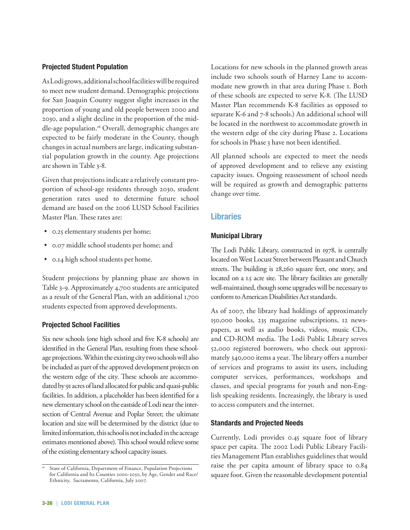#### **Projected Student Population**

As Lodi grows, additional school facilities will be required to meet new student demand. Demographic projections for San Joaquin County suggest slight increases in the proportion of young and old people between 2000 and 2030, and a slight decline in the proportion of the middle-age population.<sup>16</sup> Overall, demographic changes are expected to be fairly moderate in the County, though changes in actual numbers are large, indicating substantial population growth in the county. Age projections are shown in Table 3-8.

Given that projections indicate a relatively constant proportion of school-age residents through 2030, student generation rates used to determine future school demand are based on the 2006 LUSD School Facilities Master Plan. These rates are:

- 0.25 elementary students per home;
- • 0.07 middle school students per home; and
- 0.14 high school students per home.

Student projections by planning phase are shown in Table 3-9. Approximately 4,700 students are anticipated as a result of the General Plan, with an additional 1,700 students expected from approved developments.

#### **Projected School Facilities**

Six new schools (one high school and five K-8 schools) are identified in the General Plan, resulting from these schoolage projections. Within the existing city two schools will also be included as part of the approved development projects on the western edge of the city. These schools are accommodated by 91 acres of land allocated for public and quasi-public facilities. In addition, a placeholder has been identified for a new elementary school on the eastside of Lodi near the intersection of Central Avenue and Poplar Street; the ultimate location and size will be determined by the district (due to limited information, this school is not included in the acreage estimates mentioned above). This school would relieve some of the existing elementary school capacity issues.

Locations for new schools in the planned growth areas include two schools south of Harney Lane to accommodate new growth in that area during Phase 1. Both of these schools are expected to serve K-8. (The LUSD Master Plan recommends K-8 facilities as opposed to separate K-6 and 7-8 schools.) An additional school will be located in the northwest to accommodate growth in the western edge of the city during Phase 2. Locations for schools in Phase 3 have not been identified.

All planned schools are expected to meet the needs of approved development and to relieve any existing capacity issues. Ongoing reassessment of school needs will be required as growth and demographic patterns change over time.

## **Libraries**

#### **Municipal Library**

The Lodi Public Library, constructed in 1978, is centrally located on West Locust Street between Pleasant and Church streets. The building is 28,260 square feet, one story, and located on a 1.5 acre site. The library facilities are generally well-maintained, though some upgrades will be necessary to conform to American Disabilities Act standards.

As of 2007, the library had holdings of approximately 150,000 books, 235 magazine subscriptions, 12 newspapers, as well as audio books, videos, music CDs, and CD-ROM media. The Lodi Public Library serves 52,000 registered borrowers, who check out approximately 340,000 items a year. The library offers a number of services and programs to assist its users, including computer services, performances, workshops and classes, and special programs for youth and non-English speaking residents. Increasingly, the library is used to access computers and the internet.

#### **Standards and Projected Needs**

Currently, Lodi provides 0.45 square foot of library space per capita. The 2002 Lodi Public Library Facilities Management Plan establishes guidelines that would raise the per capita amount of library space to 0.84 square foot. Given the reasonable development potential

State of California, Department of Finance, Population Projections for California and Its Counties 2000-2050, by Age, Gender and Race/ Ethnicity, Sacramento, California, July 2007.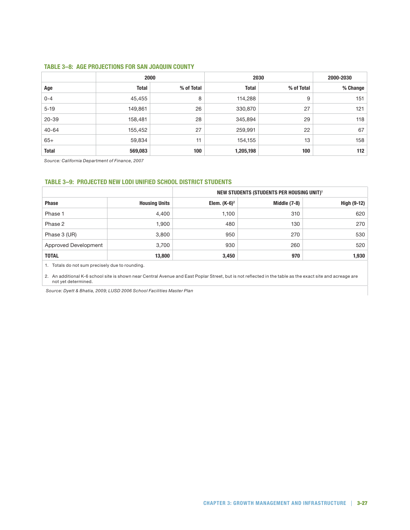#### **Table 3–8: Age Projections for San Joaquin County**

|              | 2000         |            | 2030         |            | 2000-2030 |
|--------------|--------------|------------|--------------|------------|-----------|
| Age          | <b>Total</b> | % of Total | <b>Total</b> | % of Total | % Change  |
| $0 - 4$      | 45,455       | 8          | 114,288      | 9          | 151       |
| $5 - 19$     | 149,861      | 26         | 330,870      | 27         | 121       |
| $20 - 39$    | 158,481      | 28         | 345,894      | 29         | 118       |
| $40 - 64$    | 155,452      | 27         | 259,991      | 22         | 67        |
| $65+$        | 59,834       | 11         | 154,155      | 13         | 158       |
| <b>Total</b> | 569,083      | 100        | 1,205,198    | 100        | 112       |

*Source: California Department of Finance, 2007*

#### **Table 3–9: Projected New Lodi Unified School District Students**

|                      |                      |                 | NEW STUDENTS (STUDENTS PER HOUSING UNIT) <sup>1</sup> |             |
|----------------------|----------------------|-----------------|-------------------------------------------------------|-------------|
| <b>Phase</b>         | <b>Housing Units</b> | Elem. $(K-6)^2$ | Middle (7-8)                                          | High (9-12) |
| Phase 1              | 4,400                | 1,100           | 310                                                   | 620         |
| Phase 2              | 1,900                | 480             | 130                                                   | 270         |
| Phase 3 (UR)         | 3,800                | 950             | 270                                                   | 530         |
| Approved Development | 3,700                | 930             | 260                                                   | 520         |
| <b>TOTAL</b>         | 13,800               | 3,450           | 970                                                   | 1,930       |

1. Totals do not sum precisely due to rounding.

2. An additional K-6 school site is shown near Central Avenue and East Poplar Street, but is not reflected in the table as the exact site and acreage are not yet determined.

 *Source: Dyett & Bhatia, 2009; LUSD 2006 School Facilities Master Plan*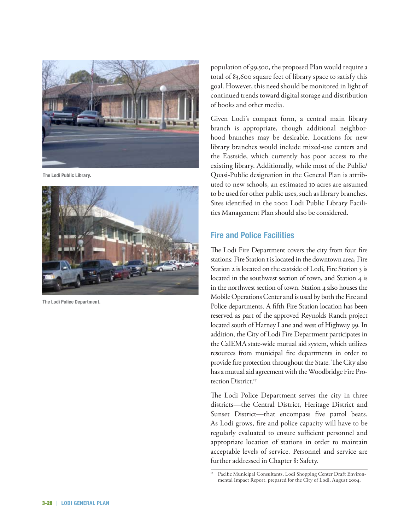

**The Lodi Public Library.** 



**The Lodi Police Department.** 

population of 99,500, the proposed Plan would require a total of 83,600 square feet of library space to satisfy this goal. However, this need should be monitored in light of continued trends toward digital storage and distribution of books and other media.

Given Lodi's compact form, a central main library branch is appropriate, though additional neighborhood branches may be desirable. Locations for new library branches would include mixed-use centers and the Eastside, which currently has poor access to the existing library. Additionally, while most of the Public/ Quasi-Public designation in the General Plan is attributed to new schools, an estimated 10 acres are assumed to be used for other public uses, such as library branches. Sites identified in the 2002 Lodi Public Library Facilities Management Plan should also be considered.

### **Fire and Police Facilities**

The Lodi Fire Department covers the city from four fire stations: Fire Station 1 is located in the downtown area, Fire Station 2 is located on the eastside of Lodi, Fire Station 3 is located in the southwest section of town, and Station 4 is in the northwest section of town. Station 4 also houses the Mobile Operations Center and is used by both the Fire and Police departments. A fifth Fire Station location has been reserved as part of the approved Reynolds Ranch project located south of Harney Lane and west of Highway 99. In addition, the City of Lodi Fire Department participates in the CalEMA state-wide mutual aid system, which utilizes resources from municipal fire departments in order to provide fire protection throughout the State. The City also has a mutual aid agreement with the Woodbridge Fire Protection District.<sup>17</sup>

The Lodi Police Department serves the city in three districts—the Central District, Heritage District and Sunset District—that encompass five patrol beats. As Lodi grows, fire and police capacity will have to be regularly evaluated to ensure sufficient personnel and appropriate location of stations in order to maintain acceptable levels of service. Personnel and service are further addressed in Chapter 8: Safety.

<sup>&</sup>lt;sup>17</sup> Pacific Municipal Consultants, Lodi Shopping Center Draft Environmental Impact Report, prepared for the City of Lodi, August 2004.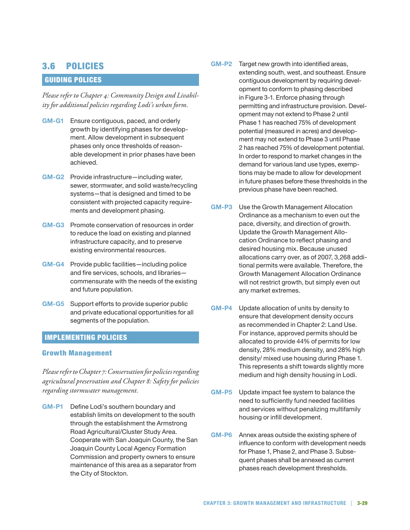## 3.6 Policies

## Guiding Polices

*Please refer to Chapter 4: Community Design and Livability for additional policies regarding Lodi's urban form.* 

- **GM-G1**  Ensure contiguous, paced, and orderly growth by identifying phases for development. Allow development in subsequent phases only once thresholds of reasonable development in prior phases have been achieved.
- **GM-G2**  Provide infrastructure—including water, sewer, stormwater, and solid waste/recycling systems—that is designed and timed to be consistent with projected capacity requirements and development phasing.
- **GM-G3**  Promote conservation of resources in order to reduce the load on existing and planned infrastructure capacity, and to preserve existing environmental resources.
- **GM-G4**  Provide public facilities—including police and fire services, schools, and libraries commensurate with the needs of the existing and future population.
- **GM-G5**  Support efforts to provide superior public and private educational opportunities for all segments of the population.

### Implementing Policies

### Growth Management

*Please refer to Chapter 7: Conservation for policies regarding agricultural preservation and Chapter 8: Safety for policies regarding stormwater management.* 

**GM-P1**  Define Lodi's southern boundary and establish limits on development to the south through the establishment the Armstrong Road Agricultural/Cluster Study Area. Cooperate with San Joaquin County, the San Joaquin County Local Agency Formation Commission and property owners to ensure maintenance of this area as a separator from the City of Stockton.

- **GM-P2**  Target new growth into identified areas, extending south, west, and southeast. Ensure contiguous development by requiring development to conform to phasing described in Figure 3-1. Enforce phasing through permitting and infrastructure provision. Development may not extend to Phase 2 until Phase 1 has reached 75% of development potential (measured in acres) and development may not extend to Phase 3 until Phase 2 has reached 75% of development potential. In order to respond to market changes in the demand for various land use types, exemptions may be made to allow for development in future phases before these thresholds in the previous phase have been reached.
- **GM-P3**  Use the Growth Management Allocation Ordinance as a mechanism to even out the pace, diversity, and direction of growth. Update the Growth Management Allocation Ordinance to reflect phasing and desired housing mix. Because unused allocations carry over, as of 2007, 3,268 additional permits were available. Therefore, the Growth Management Allocation Ordinance will not restrict growth, but simply even out any market extremes.
- **GM-P4**  Update allocation of units by density to ensure that development density occurs as recommended in Chapter 2: Land Use. For instance, approved permits should be allocated to provide 44% of permits for low density, 28% medium density, and 28% high density/ mixed use housing during Phase 1. This represents a shift towards slightly more medium and high density housing in Lodi.
- **GM-P5**  Update impact fee system to balance the need to sufficiently fund needed facilities and services without penalizing multifamily housing or infill development.
- **GM-P6**  Annex areas outside the existing sphere of influence to conform with development needs for Phase 1, Phase 2, and Phase 3. Subsequent phases shall be annexed as current phases reach development thresholds.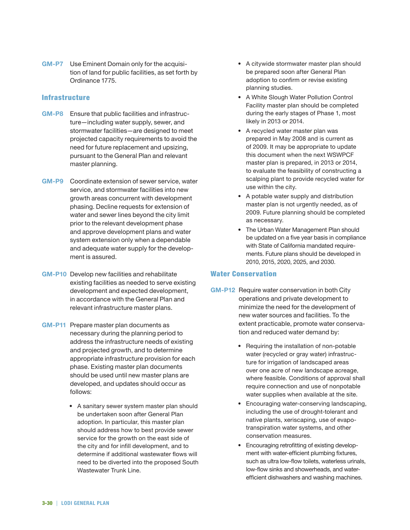**GM-P7**  Use Eminent Domain only for the acquisition of land for public facilities, as set forth by Ordinance 1775.

#### **Infrastructure**

- **GM-P8**  Ensure that public facilities and infrastructure—including water supply, sewer, and stormwater facilities—are designed to meet projected capacity requirements to avoid the need for future replacement and upsizing, pursuant to the General Plan and relevant master planning.
- **GM-P9**  Coordinate extension of sewer service, water service, and stormwater facilities into new growth areas concurrent with development phasing. Decline requests for extension of water and sewer lines beyond the city limit prior to the relevant development phase and approve development plans and water system extension only when a dependable and adequate water supply for the development is assured.
- **GM-P10**  Develop new facilities and rehabilitate existing facilities as needed to serve existing development and expected development, in accordance with the General Plan and relevant infrastructure master plans.
- **GM-P11**  Prepare master plan documents as necessary during the planning period to address the infrastructure needs of existing and projected growth, and to determine appropriate infrastructure provision for each phase. Existing master plan documents should be used until new master plans are developed, and updates should occur as follows:
	- A sanitary sewer system master plan should be undertaken soon after General Plan adoption. In particular, this master plan should address how to best provide sewer service for the growth on the east side of the city and for infill development, and to determine if additional wastewater flows will need to be diverted into the proposed South Wastewater Trunk Line.
- A citywide stormwater master plan should be prepared soon after General Plan adoption to confirm or revise existing planning studies.
- A White Slough Water Pollution Control Facility master plan should be completed during the early stages of Phase 1, most likely in 2013 or 2014.
- A recycled water master plan was prepared in May 2008 and is current as of 2009. It may be appropriate to update this document when the next WSWPCF master plan is prepared, in 2013 or 2014, to evaluate the feasibility of constructing a scalping plant to provide recycled water for use within the city.
- A potable water supply and distribution master plan is not urgently needed, as of 2009. Future planning should be completed as necessary.
- The Urban Water Management Plan should be updated on a five year basis in compliance with State of California mandated requirements. Future plans should be developed in 2010, 2015, 2020, 2025, and 2030.

### Water Conservation

- **GM-P12** Require water conservation in both City operations and private development to minimize the need for the development of new water sources and facilities. To the extent practicable, promote water conservation and reduced water demand by:
	- Requiring the installation of non-potable water (recycled or gray water) infrastructure for irrigation of landscaped areas over one acre of new landscape acreage, where feasible. Conditions of approval shall require connection and use of nonpotable water supplies when available at the site.
	- Encouraging water-conserving landscaping, including the use of drought-tolerant and native plants, xeriscaping, use of evapotranspiration water systems, and other conservation measures.
	- Encouraging retrofitting of existing development with water-efficient plumbing fixtures, such as ultra low-flow toilets, waterless urinals, low-flow sinks and showerheads, and waterefficient dishwashers and washing machines.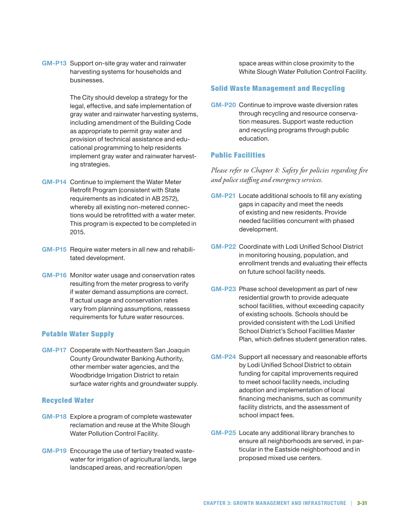**GM-P13**  Support on-site gray water and rainwater harvesting systems for households and businesses.

> The City should develop a strategy for the legal, effective, and safe implementation of gray water and rainwater harvesting systems, including amendment of the Building Code as appropriate to permit gray water and provision of technical assistance and educational programming to help residents implement gray water and rainwater harvesting strategies.

- **GM-P14**  Continue to implement the Water Meter Retrofit Program (consistent with State requirements as indicated in AB 2572), whereby all existing non-metered connections would be retrofitted with a water meter. This program is expected to be completed in 2015.
- **GM-P15**  Require water meters in all new and rehabilitated development.
- **GM-P16**  Monitor water usage and conservation rates resulting from the meter progress to verify if water demand assumptions are correct. If actual usage and conservation rates vary from planning assumptions, reassess requirements for future water resources.

### Potable Water Supply

**GM-P17**  Cooperate with Northeastern San Joaquin County Groundwater Banking Authority, other member water agencies, and the Woodbridge Irrigation District to retain surface water rights and groundwater supply.

#### Recycled Water

- **GM-P18**  Explore a program of complete wastewater reclamation and reuse at the White Slough Water Pollution Control Facility.
- **GM-P19**  Encourage the use of tertiary treated wastewater for irrigation of agricultural lands, large landscaped areas, and recreation/open

space areas within close proximity to the White Slough Water Pollution Control Facility.

#### Solid Waste Management and Recycling

**GM-P20**  Continue to improve waste diversion rates through recycling and resource conservation measures. Support waste reduction and recycling programs through public education.

### Public Facilities

*Please refer to Chapter 8: Safety for policies regarding fire and police staffing and emergency services.* 

- **GM-P21** Locate additional schools to fill any existing gaps in capacity and meet the needs of existing and new residents. Provide needed facilities concurrent with phased development.
- **GM-P22**  Coordinate with Lodi Unified School District in monitoring housing, population, and enrollment trends and evaluating their effects on future school facility needs.
- **GM-P23**  Phase school development as part of new residential growth to provide adequate school facilities, without exceeding capacity of existing schools. Schools should be provided consistent with the Lodi Unified School District's School Facilities Master Plan, which defines student generation rates.
- **GM-P24**  Support all necessary and reasonable efforts by Lodi Unified School District to obtain funding for capital improvements required to meet school facility needs, including adoption and implementation of local financing mechanisms, such as community facility districts, and the assessment of school impact fees.
- **GM-P25**  Locate any additional library branches to ensure all neighborhoods are served, in particular in the Eastside neighborhood and in proposed mixed use centers.